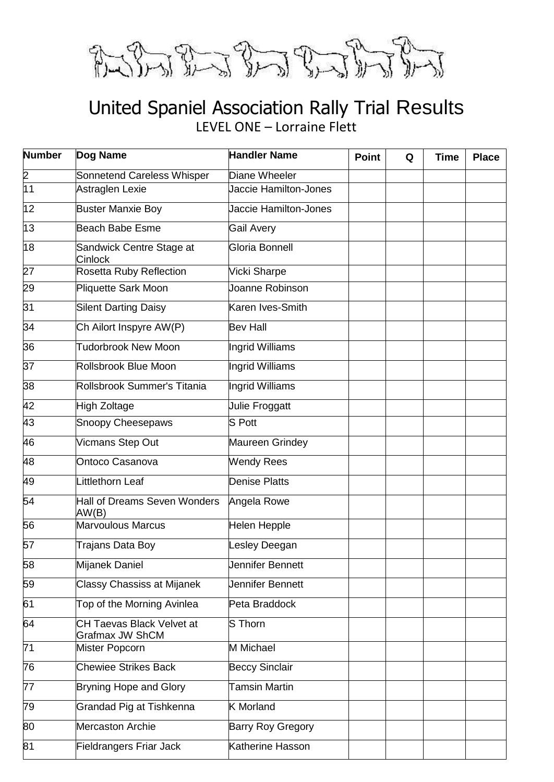

#### United Spaniel Association Rally Trial Results LEVEL ONE – Lorraine Flett

| <b>Number</b>   | Dog Name                                            | <b>Handler Name</b>          | <b>Point</b> | Q | <b>Time</b> | <b>Place</b> |
|-----------------|-----------------------------------------------------|------------------------------|--------------|---|-------------|--------------|
| $\frac{2}{11}$  | Sonnetend Careless Whisper                          | Diane Wheeler                |              |   |             |              |
|                 | Astraglen Lexie                                     | Jaccie Hamilton-Jones        |              |   |             |              |
| 12              | <b>Buster Manxie Boy</b>                            | <b>Jaccie Hamilton-Jones</b> |              |   |             |              |
| 13              | Beach Babe Esme                                     | <b>Gail Avery</b>            |              |   |             |              |
| 18              | Sandwick Centre Stage at<br><b>Cinlock</b>          | Gloria Bonnell               |              |   |             |              |
| $\overline{27}$ | Rosetta Ruby Reflection                             | Vicki Sharpe                 |              |   |             |              |
| 29              | Pliquette Sark Moon                                 | Joanne Robinson              |              |   |             |              |
| 31              | <b>Silent Darting Daisy</b>                         | Karen Ives-Smith             |              |   |             |              |
| 34              | Ch Ailort Inspyre AW(P)                             | <b>Bev Hall</b>              |              |   |             |              |
| 36              | <b>Tudorbrook New Moon</b>                          | Ingrid Williams              |              |   |             |              |
| $\overline{37}$ | Rollsbrook Blue Moon                                | Ingrid Williams              |              |   |             |              |
| 38              | Rollsbrook Summer's Titania                         | Ingrid Williams              |              |   |             |              |
| 42              | High Zoltage                                        | Julie Froggatt               |              |   |             |              |
| 43              | <b>Snoopy Cheesepaws</b>                            | S Pott                       |              |   |             |              |
| 46              | <b>Vicmans Step Out</b>                             | Maureen Grindey              |              |   |             |              |
| 48              | Ontoco Casanova                                     | <b>Wendy Rees</b>            |              |   |             |              |
| 49              | Littlethorn Leaf                                    | <b>Denise Platts</b>         |              |   |             |              |
| 54              | Hall of Dreams Seven Wonders<br>AW(B)               | Angela Rowe                  |              |   |             |              |
| 56              | <b>Marvoulous Marcus</b>                            | Helen Hepple                 |              |   |             |              |
| 57              | Trajans Data Boy                                    | Lesley Deegan                |              |   |             |              |
| 58              | Mijanek Daniel                                      | Jennifer Bennett             |              |   |             |              |
| 59              | <b>Classy Chassiss at Mijanek</b>                   | Jennifer Bennett             |              |   |             |              |
| 61              | Top of the Morning Avinlea                          | Peta Braddock                |              |   |             |              |
| 64              | CH Taevas Black Velvet at<br><b>Grafmax JW ShCM</b> | S Thorn                      |              |   |             |              |
| $\overline{71}$ | Mister Popcorn                                      | M Michael                    |              |   |             |              |
| 76              | <b>Chewiee Strikes Back</b>                         | <b>Beccy Sinclair</b>        |              |   |             |              |
| 77              | <b>Bryning Hope and Glory</b>                       | Tamsin Martin                |              |   |             |              |
| 79              | Grandad Pig at Tishkenna                            | <b>K</b> Morland             |              |   |             |              |
| 80              | Mercaston Archie                                    | Barry Roy Gregory            |              |   |             |              |
| 81              | Fieldrangers Friar Jack                             | Katherine Hasson             |              |   |             |              |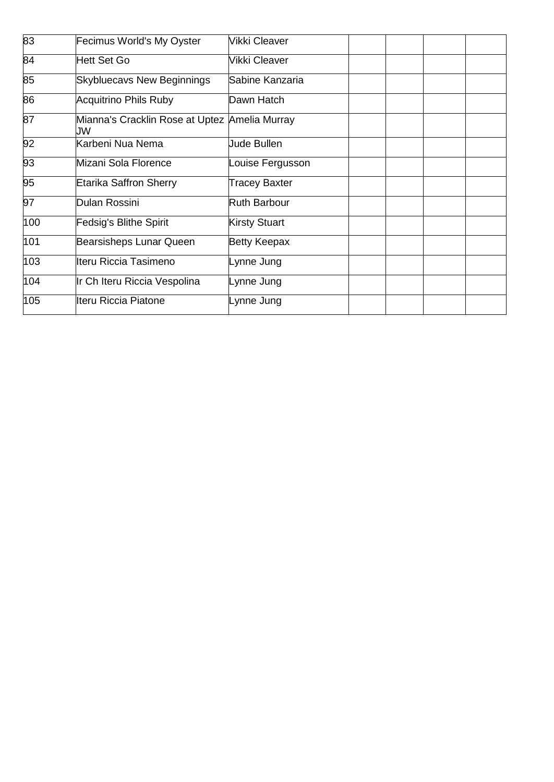| 83  | Fecimus World's My Oyster                           | Vikki Cleaver        |  |  |
|-----|-----------------------------------------------------|----------------------|--|--|
| 84  | Hett Set Go                                         | Vikki Cleaver        |  |  |
| 85  | <b>Skybluecavs New Beginnings</b>                   | Sabine Kanzaria      |  |  |
| 86  | <b>Acquitrino Phils Ruby</b>                        | Dawn Hatch           |  |  |
| 87  | Mianna's Cracklin Rose at Uptez Amelia Murray<br>JW |                      |  |  |
| 92  | Karbeni Nua Nema                                    | <b>Jude Bullen</b>   |  |  |
| 93  | Mizani Sola Florence                                | Louise Fergusson     |  |  |
| 95  | <b>Etarika Saffron Sherry</b>                       | Tracey Baxter        |  |  |
| 97  | Dulan Rossini                                       | <b>Ruth Barbour</b>  |  |  |
| 100 | <b>Fedsig's Blithe Spirit</b>                       | <b>Kirsty Stuart</b> |  |  |
| 101 | Bearsisheps Lunar Queen                             | <b>Betty Keepax</b>  |  |  |
| 103 | Iteru Riccia Tasimeno                               | Lynne Jung           |  |  |
| 104 | Ir Ch Iteru Riccia Vespolina                        | Lynne Jung           |  |  |
| 105 | Iteru Riccia Piatone                                | Lynne Jung           |  |  |
|     |                                                     |                      |  |  |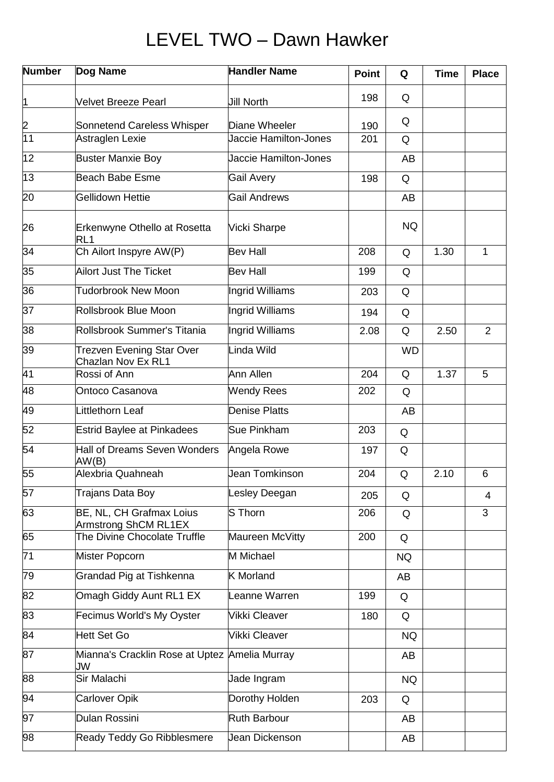### LEVEL TWO – Dawn Hawker

| <b>Number</b>   | Dog Name                                                      | <b>Handler Name</b>   | <b>Point</b> | Q         | <b>Time</b> | <b>Place</b>   |
|-----------------|---------------------------------------------------------------|-----------------------|--------------|-----------|-------------|----------------|
| 1               | <b>Velvet Breeze Pearl</b>                                    | <b>Jill North</b>     | 198          | Q         |             |                |
|                 | Sonnetend Careless Whisper                                    | Diane Wheeler         | 190          | Q         |             |                |
| $\frac{2}{11}$  | Astraglen Lexie                                               | Jaccie Hamilton-Jones | 201          | Q         |             |                |
| $\overline{12}$ | <b>Buster Manxie Boy</b>                                      | Jaccie Hamilton-Jones |              | AB        |             |                |
| $\overline{13}$ | Beach Babe Esme                                               | <b>Gail Avery</b>     | 198          | Q         |             |                |
| $\overline{20}$ | <b>Gellidown Hettie</b>                                       | <b>Gail Andrews</b>   |              | AB        |             |                |
| 26              | Erkenwyne Othello at Rosetta<br>RL <sub>1</sub>               | <b>Vicki Sharpe</b>   |              | <b>NQ</b> |             |                |
| $\overline{34}$ | Ch Ailort Inspyre AW(P)                                       | Bev Hall              | 208          | Q         | 1.30        | 1              |
| 35              | <b>Ailort Just The Ticket</b>                                 | Bev Hall              | 199          | Q         |             |                |
| 36              | <b>Tudorbrook New Moon</b>                                    | Ingrid Williams       | 203          | Q         |             |                |
| 37              | Rollsbrook Blue Moon                                          | Ingrid Williams       | 194          | Q         |             |                |
| $\overline{38}$ | Rollsbrook Summer's Titania                                   | Ingrid Williams       | 2.08         | Q         | 2.50        | $\overline{2}$ |
| 39              | <b>Trezven Evening Star Over</b><br><b>Chazlan Nov Ex RL1</b> | Linda Wild            |              | <b>WD</b> |             |                |
| $\overline{41}$ | Rossi of Ann                                                  | Ann Allen             | 204          | Q         | 1.37        | 5              |
| 48              | Ontoco Casanova                                               | <b>Wendy Rees</b>     | 202          | Q         |             |                |
| 49              | Littlethorn Leaf                                              | <b>Denise Platts</b>  |              | AB        |             |                |
| $\overline{52}$ | <b>Estrid Baylee at Pinkadees</b>                             | <b>Sue Pinkham</b>    | 203          | Q         |             |                |
| $\overline{54}$ | <b>Hall of Dreams Seven Wonders</b><br>AW(B)                  | Angela Rowe           | 197          | Q         |             |                |
| $\overline{55}$ | Alexbria Quahneah                                             | Jean Tomkinson        | 204          | Q         | 2.10        | 6              |
| 57              | Trajans Data Boy                                              | Lesley Deegan         | 205          | Q         |             | 4              |
| 63              | BE, NL, CH Grafmax Loius<br>Armstrong ShCM RL1EX              | S Thorn               | 206          | Q         |             | 3              |
| 65              | The Divine Chocolate Truffle                                  | Maureen McVitty       | 200          | Q         |             |                |
| $\overline{71}$ | Mister Popcorn                                                | M Michael             |              | <b>NQ</b> |             |                |
| 79              | Grandad Pig at Tishkenna                                      | <b>K</b> Morland      |              | AB        |             |                |
| 82              | Omagh Giddy Aunt RL1 EX                                       | Leanne Warren         | 199          | Q         |             |                |
| 83              | Fecimus World's My Oyster                                     | Vikki Cleaver         | 180          | Q         |             |                |
| 84              | Hett Set Go                                                   | <b>Vikki Cleaver</b>  |              | <b>NQ</b> |             |                |
| 87              | Mianna's Cracklin Rose at Uptez Amelia Murray<br>JW           |                       |              | AB        |             |                |
| $\overline{88}$ | Sir Malachi                                                   | Jade Ingram           |              | <b>NQ</b> |             |                |
| 94              | <b>Carlover Opik</b>                                          | Dorothy Holden        | 203          | Q         |             |                |
| 97              | Dulan Rossini                                                 | <b>Ruth Barbour</b>   |              | AB        |             |                |
| 98              | <b>Ready Teddy Go Ribblesmere</b>                             | Jean Dickenson        |              | AB        |             |                |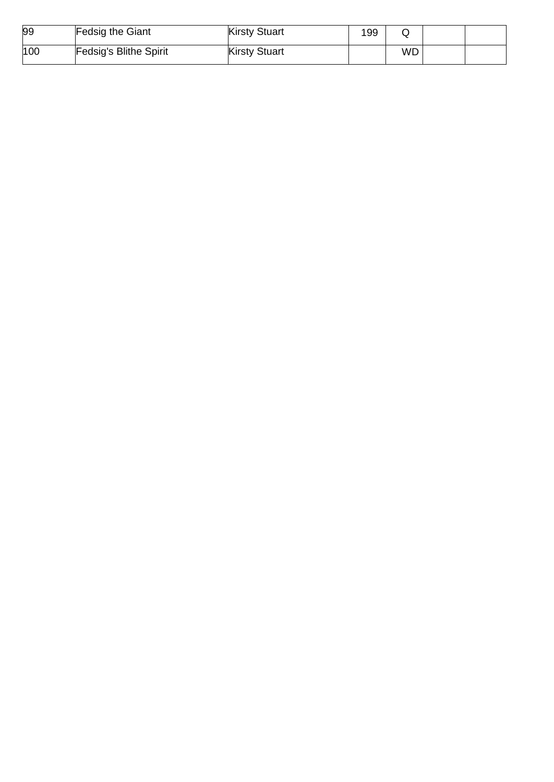| 99  | Fedsig the Giant       | <b>Kirsty Stuart</b> | 199 |           |  |
|-----|------------------------|----------------------|-----|-----------|--|
| 100 | Fedsig's Blithe Spirit | <b>Kirsty Stuart</b> |     | <b>WD</b> |  |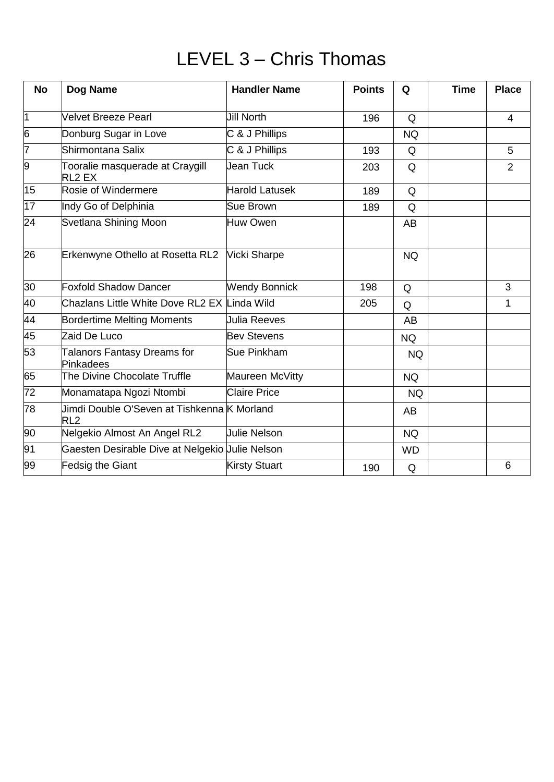### LEVEL 3 – Chris Thomas

| <b>No</b>       | Dog Name                                                       | <b>Handler Name</b>              | <b>Points</b> | Q         | <b>Time</b> | <b>Place</b>   |
|-----------------|----------------------------------------------------------------|----------------------------------|---------------|-----------|-------------|----------------|
| $\overline{1}$  | <b>Velvet Breeze Pearl</b>                                     | <b>Jill North</b>                | 196           | Q         |             | 4              |
| 6               | Donburg Sugar in Love                                          | C & J Phillips                   |               | <b>NQ</b> |             |                |
| 7               | Shirmontana Salix                                              | C & J Phillips                   | 193           | Q         |             | 5              |
| 9               | Tooralie masquerade at Craygill<br>RL <sub>2</sub> EX          | Jean Tuck                        | 203           | Q         |             | $\overline{2}$ |
| 15              | Rosie of Windermere                                            | <b>Harold Latusek</b>            | 189           | Q         |             |                |
| 17              | Indy Go of Delphinia                                           | Sue Brown                        | 189           | Q         |             |                |
| 24              | Svetlana Shining Moon                                          | Huw Owen                         |               | AB        |             |                |
| $\overline{26}$ | Erkenwyne Othello at Rosetta RL2                               | <b>Vicki Sharpe</b>              |               | <b>NQ</b> |             |                |
| $\overline{30}$ | <b>Foxfold Shadow Dancer</b>                                   | <b>Wendy Bonnick</b><br>198<br>Q |               |           | 3           |                |
| 40              | Chazlans Little White Dove RL2 EX Linda Wild                   |                                  | 205           | Q         |             | 1              |
| 44              | <b>Bordertime Melting Moments</b>                              | <b>Julia Reeves</b>              |               | AB        |             |                |
| 45              | Zaid De Luco                                                   | <b>Bev Stevens</b>               |               | <b>NQ</b> |             |                |
| 53              | <b>Talanors Fantasy Dreams for</b><br>Pinkadees                | Sue Pinkham                      |               | <b>NQ</b> |             |                |
| 65              | The Divine Chocolate Truffle                                   | Maureen McVitty                  |               | <b>NQ</b> |             |                |
| $\overline{72}$ | Monamatapa Ngozi Ntombi                                        | <b>Claire Price</b>              |               | <b>NQ</b> |             |                |
| $\overline{78}$ | Jimdi Double O'Seven at Tishkenna K Morland<br>RL <sub>2</sub> |                                  |               | <b>AB</b> |             |                |
| 90              | Nelgekio Almost An Angel RL2                                   | <b>Julie Nelson</b>              |               | <b>NQ</b> |             |                |
| 91              | Gaesten Desirable Dive at Nelgekio Uulie Nelson                |                                  |               | <b>WD</b> |             |                |
| 99              | <b>Fedsig the Giant</b>                                        | <b>Kirsty Stuart</b>             | 190           | Q         |             | 6              |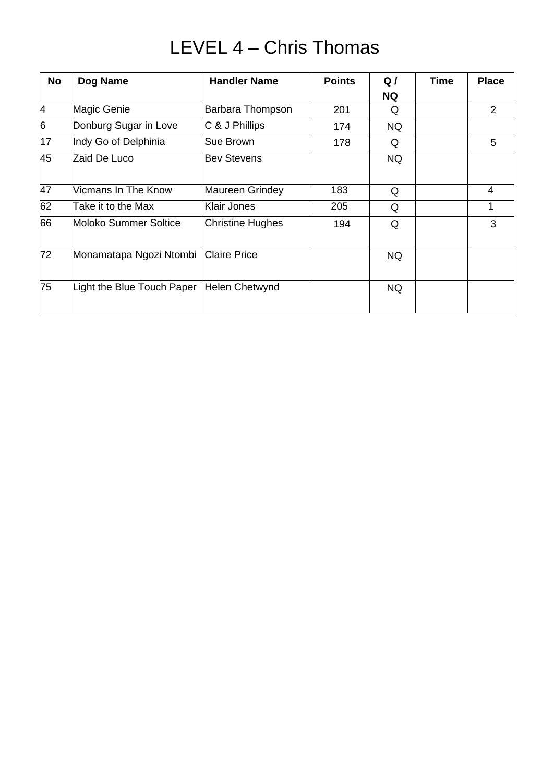### LEVEL 4 – Chris Thomas

| <b>No</b> | Dog Name                   | <b>Handler Name</b>   | <b>Points</b> | Q/        | <b>Time</b> | <b>Place</b>   |
|-----------|----------------------------|-----------------------|---------------|-----------|-------------|----------------|
|           |                            |                       |               | <b>NQ</b> |             |                |
| 4         | Magic Genie                | Barbara Thompson      | 201           | Q         |             | $\overline{2}$ |
| 6         | Donburg Sugar in Love      | C & J Phillips        | 174           | <b>NQ</b> |             |                |
| 17        | Indy Go of Delphinia       | Sue Brown             | 178           | Q         |             | 5              |
| 45        | Zaid De Luco               | <b>Bev Stevens</b>    |               | <b>NQ</b> |             |                |
| 47        | Vicmans In The Know        | Maureen Grindey       | 183           | Q         |             | 4              |
| 62        | Take it to the Max         | Klair Jones           | 205           | Q         |             | 1              |
| 66        | Moloko Summer Soltice      | Christine Hughes      | 194           | Q         |             | 3              |
| 72        | Monamatapa Ngozi Ntombi    | <b>Claire Price</b>   |               | <b>NQ</b> |             |                |
| 75        | Light the Blue Touch Paper | <b>Helen Chetwynd</b> |               | <b>NQ</b> |             |                |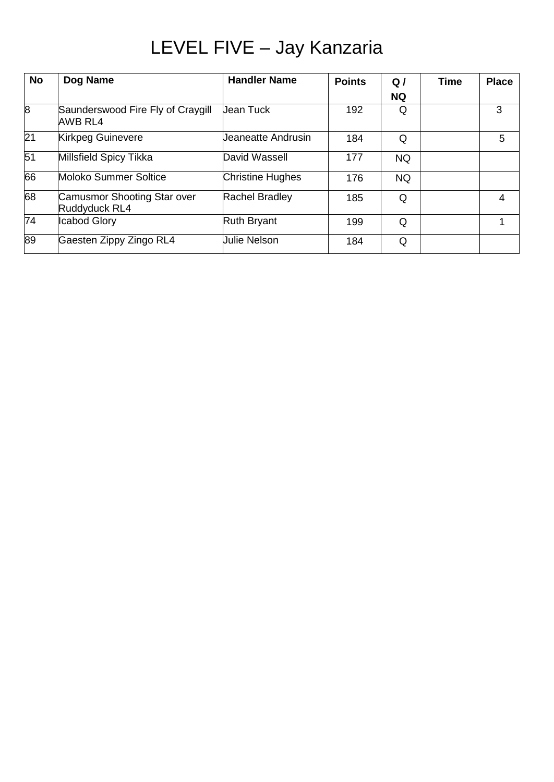## LEVEL FIVE – Jay Kanzaria

| <b>No</b>       | Dog Name                                            | <b>Handler Name</b>            | <b>Points</b> | Q         | <b>Time</b> | <b>Place</b> |
|-----------------|-----------------------------------------------------|--------------------------------|---------------|-----------|-------------|--------------|
|                 |                                                     |                                |               | <b>NQ</b> |             |              |
| $\overline{8}$  | Saunderswood Fire Fly of Craygill<br><b>AWB RL4</b> | <b>Jean Tuck</b>               | 192           | Q         |             | 3            |
| $\overline{21}$ | <b>Kirkpeg Guinevere</b>                            | Jeaneatte Andrusin<br>184<br>Q |               | 5         |             |              |
| 51              | Millsfield Spicy Tikka                              | David Wassell                  | 177           | <b>NQ</b> |             |              |
| 66              | Moloko Summer Soltice                               | Christine Hughes               | 176           | <b>NQ</b> |             |              |
| 68              | Camusmor Shooting Star over<br>Ruddyduck RL4        | <b>Rachel Bradley</b>          | 185           | Q         |             | 4            |
| $\overline{74}$ | <b>Icabod Glory</b>                                 | <b>Ruth Bryant</b>             | 199           | Q         |             |              |
| 89              | Gaesten Zippy Zingo RL4                             | <b>Julie Nelson</b>            | 184           | Q         |             |              |